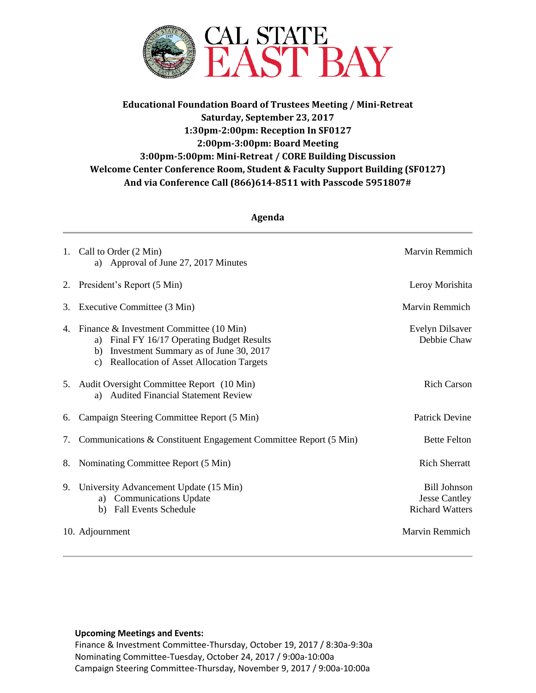

# **Educational Foundation Board of Trustees Meeting / Mini-Retreat Saturday, September 23, 2017 1:30pm-2:00pm: Reception In SF0127 2:00pm-3:00pm: Board Meeting 3:00pm-5:00pm: Mini-Retreat / CORE Building Discussion Welcome Center Conference Room, Student & Faculty Support Building (SF0127) And via Conference Call (866)614-8511 with Passcode 5951807#**

| Agenda |                                                                                                                                                                                                   |                                                                       |
|--------|---------------------------------------------------------------------------------------------------------------------------------------------------------------------------------------------------|-----------------------------------------------------------------------|
| 1.     | Call to Order (2 Min)<br>Approval of June 27, 2017 Minutes<br>a)                                                                                                                                  | Marvin Remmich                                                        |
| 2.     | President's Report (5 Min)                                                                                                                                                                        | Leroy Morishita                                                       |
| 3.     | Executive Committee (3 Min)                                                                                                                                                                       | Marvin Remmich                                                        |
| 4.     | Finance & Investment Committee (10 Min)<br>Final FY 16/17 Operating Budget Results<br>a)<br>Investment Summary as of June 30, 2017<br>b)<br><b>Reallocation of Asset Allocation Targets</b><br>c) | Evelyn Dilsaver<br>Debbie Chaw                                        |
|        | 5. Audit Oversight Committee Report (10 Min)<br><b>Audited Financial Statement Review</b><br>a)                                                                                                   | <b>Rich Carson</b>                                                    |
| 6.     | Campaign Steering Committee Report (5 Min)                                                                                                                                                        | <b>Patrick Devine</b>                                                 |
| 7.     | Communications & Constituent Engagement Committee Report (5 Min)                                                                                                                                  | <b>Bette Felton</b>                                                   |
| 8.     | Nominating Committee Report (5 Min)                                                                                                                                                               | <b>Rich Sherratt</b>                                                  |
| 9.     | University Advancement Update (15 Min)<br>a) Communications Update<br><b>Fall Events Schedule</b><br>b)                                                                                           | <b>Bill Johnson</b><br><b>Jesse Cantley</b><br><b>Richard Watters</b> |
|        | 10. Adjournment                                                                                                                                                                                   | <b>Marvin Remmich</b>                                                 |

### **Upcoming Meetings and Events:**

Finance & Investment Committee-Thursday, October 19, 2017 / 8:30a-9:30a Nominating Committee-Tuesday, October 24, 2017 / 9:00a-10:00a Campaign Steering Committee-Thursday, November 9, 2017 / 9:00a-10:00a